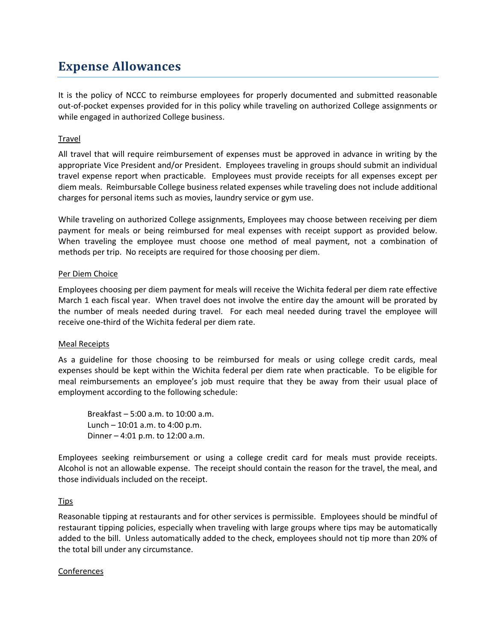# **Expense Allowances**

It is the policy of NCCC to reimburse employees for properly documented and submitted reasonable out-of-pocket expenses provided for in this policy while traveling on authorized College assignments or while engaged in authorized College business.

## **Travel**

All travel that will require reimbursement of expenses must be approved in advance in writing by the appropriate Vice President and/or President. Employees traveling in groups should submit an individual travel expense report when practicable. Employees must provide receipts for all expenses except per diem meals. Reimbursable College business related expenses while traveling does not include additional charges for personal items such as movies, laundry service or gym use.

While traveling on authorized College assignments, Employees may choose between receiving per diem payment for meals or being reimbursed for meal expenses with receipt support as provided below. When traveling the employee must choose one method of meal payment, not a combination of methods per trip. No receipts are required for those choosing per diem.

## Per Diem Choice

Employees choosing per diem payment for meals will receive the Wichita federal per diem rate effective March 1 each fiscal year. When travel does not involve the entire day the amount will be prorated by the number of meals needed during travel. For each meal needed during travel the employee will receive one-third of the Wichita federal per diem rate.

## Meal Receipts

As a guideline for those choosing to be reimbursed for meals or using college credit cards, meal expenses should be kept within the Wichita federal per diem rate when practicable. To be eligible for meal reimbursements an employee's job must require that they be away from their usual place of employment according to the following schedule:

Breakfast – 5:00 a.m. to 10:00 a.m. Lunch – 10:01 a.m. to 4:00 p.m. Dinner – 4:01 p.m. to 12:00 a.m.

Employees seeking reimbursement or using a college credit card for meals must provide receipts. Alcohol is not an allowable expense. The receipt should contain the reason for the travel, the meal, and those individuals included on the receipt.

## **Tips**

Reasonable tipping at restaurants and for other services is permissible. Employees should be mindful of restaurant tipping policies, especially when traveling with large groups where tips may be automatically added to the bill. Unless automatically added to the check, employees should not tip more than 20% of the total bill under any circumstance.

## Conferences